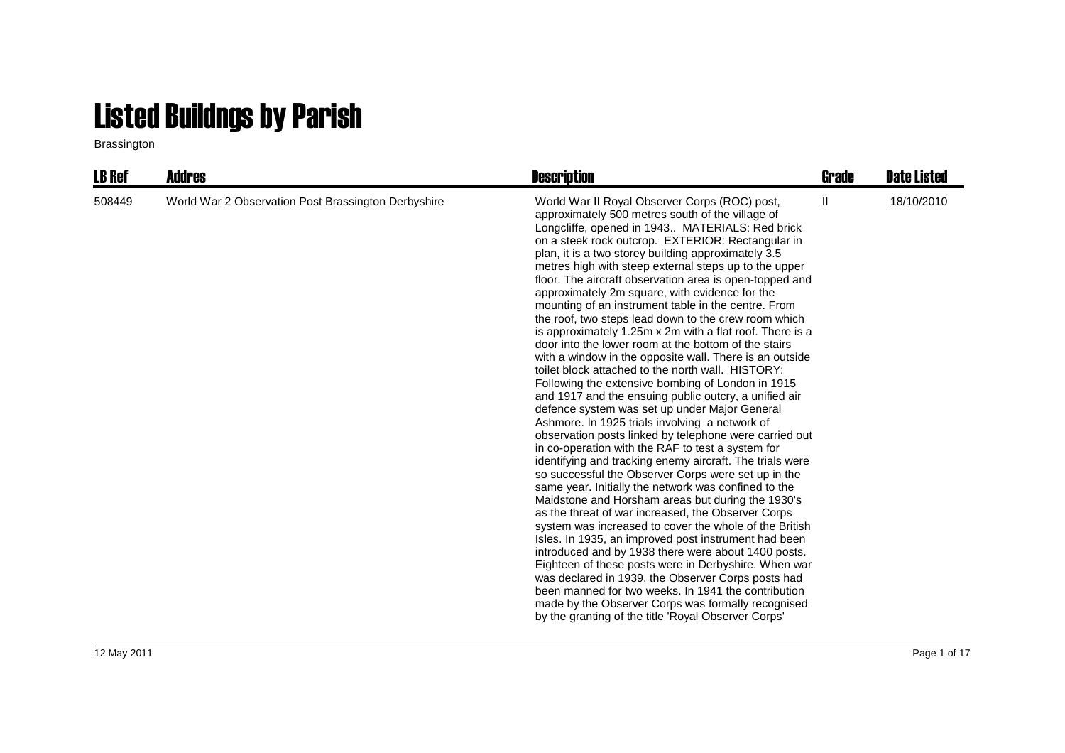## Listed Buildngs by Parish

Brassington

| <b>LB Ref</b> | Addres                                              | <b>Description</b>                                                                                                                                                                                                                                                                                                                                                                                                                                                                                                                                                                                                                                                                                                                                                                                                                                                                                                                                                                                                                                                                                                                                                                                                                                                                                                                                                                                                                                                                                                                                                                                                                                                                                                                                                                                                                                                         | Grade        | <b>Date Listed</b> |
|---------------|-----------------------------------------------------|----------------------------------------------------------------------------------------------------------------------------------------------------------------------------------------------------------------------------------------------------------------------------------------------------------------------------------------------------------------------------------------------------------------------------------------------------------------------------------------------------------------------------------------------------------------------------------------------------------------------------------------------------------------------------------------------------------------------------------------------------------------------------------------------------------------------------------------------------------------------------------------------------------------------------------------------------------------------------------------------------------------------------------------------------------------------------------------------------------------------------------------------------------------------------------------------------------------------------------------------------------------------------------------------------------------------------------------------------------------------------------------------------------------------------------------------------------------------------------------------------------------------------------------------------------------------------------------------------------------------------------------------------------------------------------------------------------------------------------------------------------------------------------------------------------------------------------------------------------------------------|--------------|--------------------|
| 508449        | World War 2 Observation Post Brassington Derbyshire | World War II Royal Observer Corps (ROC) post,<br>approximately 500 metres south of the village of<br>Longcliffe, opened in 1943 MATERIALS: Red brick<br>on a steek rock outcrop. EXTERIOR: Rectangular in<br>plan, it is a two storey building approximately 3.5<br>metres high with steep external steps up to the upper<br>floor. The aircraft observation area is open-topped and<br>approximately 2m square, with evidence for the<br>mounting of an instrument table in the centre. From<br>the roof, two steps lead down to the crew room which<br>is approximately 1.25m x 2m with a flat roof. There is a<br>door into the lower room at the bottom of the stairs<br>with a window in the opposite wall. There is an outside<br>toilet block attached to the north wall. HISTORY:<br>Following the extensive bombing of London in 1915<br>and 1917 and the ensuing public outcry, a unified air<br>defence system was set up under Major General<br>Ashmore. In 1925 trials involving a network of<br>observation posts linked by telephone were carried out<br>in co-operation with the RAF to test a system for<br>identifying and tracking enemy aircraft. The trials were<br>so successful the Observer Corps were set up in the<br>same year. Initially the network was confined to the<br>Maidstone and Horsham areas but during the 1930's<br>as the threat of war increased, the Observer Corps<br>system was increased to cover the whole of the British<br>Isles. In 1935, an improved post instrument had been<br>introduced and by 1938 there were about 1400 posts.<br>Eighteen of these posts were in Derbyshire. When war<br>was declared in 1939, the Observer Corps posts had<br>been manned for two weeks. In 1941 the contribution<br>made by the Observer Corps was formally recognised<br>by the granting of the title 'Royal Observer Corps' | $\mathbf{H}$ | 18/10/2010         |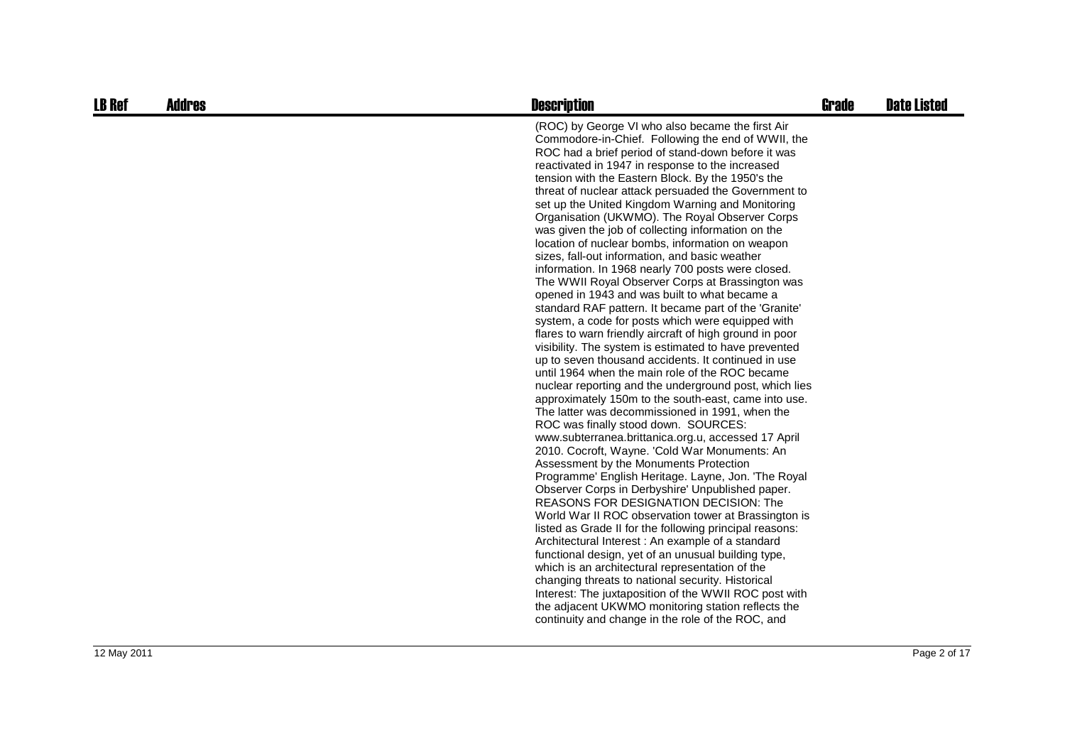| <b>LB Ref</b> | <b>Addres</b> | <b>Description</b>                                                                                                                                                                                                                                                                                                                                                                                                                                                                                                                                                                                                                                                                                                                                                                                                                                                                                                                                                                                                                                                                                                                                                                                                                                                                                                                                                                                                                                                                                                                                                                                                                                                                                                                                                                                                                                                                                                                                                                                                                                                                                                                  | <b>Grade</b> | <b>Date Listed</b> |
|---------------|---------------|-------------------------------------------------------------------------------------------------------------------------------------------------------------------------------------------------------------------------------------------------------------------------------------------------------------------------------------------------------------------------------------------------------------------------------------------------------------------------------------------------------------------------------------------------------------------------------------------------------------------------------------------------------------------------------------------------------------------------------------------------------------------------------------------------------------------------------------------------------------------------------------------------------------------------------------------------------------------------------------------------------------------------------------------------------------------------------------------------------------------------------------------------------------------------------------------------------------------------------------------------------------------------------------------------------------------------------------------------------------------------------------------------------------------------------------------------------------------------------------------------------------------------------------------------------------------------------------------------------------------------------------------------------------------------------------------------------------------------------------------------------------------------------------------------------------------------------------------------------------------------------------------------------------------------------------------------------------------------------------------------------------------------------------------------------------------------------------------------------------------------------------|--------------|--------------------|
|               |               | (ROC) by George VI who also became the first Air<br>Commodore-in-Chief. Following the end of WWII, the<br>ROC had a brief period of stand-down before it was<br>reactivated in 1947 in response to the increased<br>tension with the Eastern Block. By the 1950's the<br>threat of nuclear attack persuaded the Government to<br>set up the United Kingdom Warning and Monitoring<br>Organisation (UKWMO). The Royal Observer Corps<br>was given the job of collecting information on the<br>location of nuclear bombs, information on weapon<br>sizes, fall-out information, and basic weather<br>information. In 1968 nearly 700 posts were closed.<br>The WWII Royal Observer Corps at Brassington was<br>opened in 1943 and was built to what became a<br>standard RAF pattern. It became part of the 'Granite'<br>system, a code for posts which were equipped with<br>flares to warn friendly aircraft of high ground in poor<br>visibility. The system is estimated to have prevented<br>up to seven thousand accidents. It continued in use<br>until 1964 when the main role of the ROC became<br>nuclear reporting and the underground post, which lies<br>approximately 150m to the south-east, came into use.<br>The latter was decommissioned in 1991, when the<br>ROC was finally stood down. SOURCES:<br>www.subterranea.brittanica.org.u, accessed 17 April<br>2010. Cocroft, Wayne. 'Cold War Monuments: An<br>Assessment by the Monuments Protection<br>Programme' English Heritage. Layne, Jon. 'The Royal<br>Observer Corps in Derbyshire' Unpublished paper.<br>REASONS FOR DESIGNATION DECISION: The<br>World War II ROC observation tower at Brassington is<br>listed as Grade II for the following principal reasons:<br>Architectural Interest: An example of a standard<br>functional design, yet of an unusual building type,<br>which is an architectural representation of the<br>changing threats to national security. Historical<br>Interest: The juxtaposition of the WWII ROC post with<br>the adjacent UKWMO monitoring station reflects the<br>continuity and change in the role of the ROC, and |              |                    |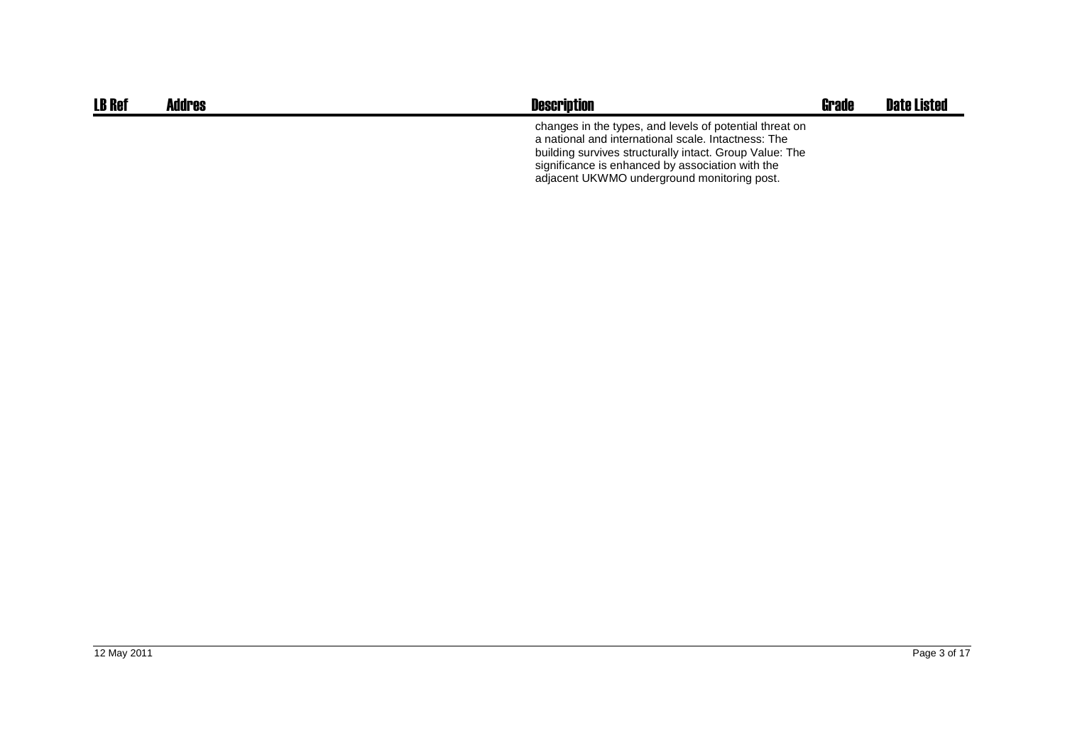| <b>LB Ref</b> | <b>Addres</b> | <b>Description</b>                                                                                                                                                                                                                                                           | <b>Grade</b> | <b>Date Listed</b> |
|---------------|---------------|------------------------------------------------------------------------------------------------------------------------------------------------------------------------------------------------------------------------------------------------------------------------------|--------------|--------------------|
|               |               | changes in the types, and levels of potential threat on<br>a national and international scale. Intactness: The<br>building survives structurally intact. Group Value: The<br>significance is enhanced by association with the<br>adjacent UKWMO underground monitoring post. |              |                    |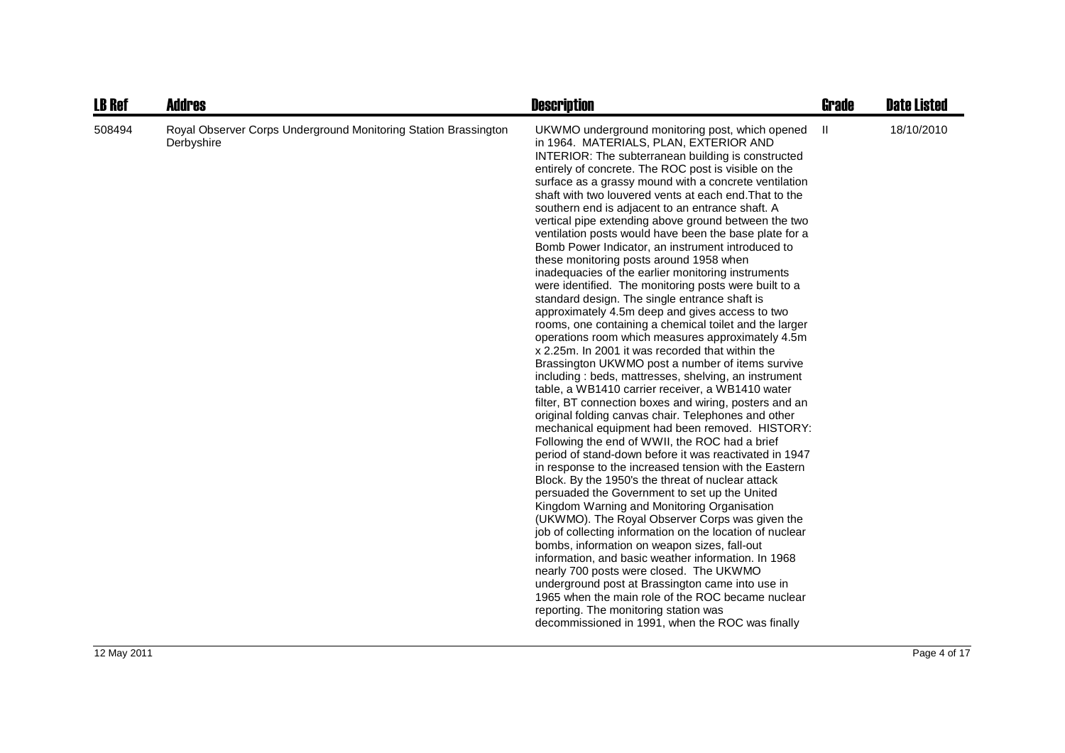| <b>LB Ref</b> | <b>Addres</b>                                                                 | <b>Description</b>                                                                                                                                                                                                                                                                                                                                                                                                                                                                                                                                                                                                                                                                                                                                                                                                                                                                                                                                                                                                                                                                                                                                                                                                                                                                                                                                                                                                                                                                                                                                                                                                                                                                                                                                                                                                                                                                                                                                                                                                                                                                                                          | <b>Grade</b> | <b>Date Listed</b> |
|---------------|-------------------------------------------------------------------------------|-----------------------------------------------------------------------------------------------------------------------------------------------------------------------------------------------------------------------------------------------------------------------------------------------------------------------------------------------------------------------------------------------------------------------------------------------------------------------------------------------------------------------------------------------------------------------------------------------------------------------------------------------------------------------------------------------------------------------------------------------------------------------------------------------------------------------------------------------------------------------------------------------------------------------------------------------------------------------------------------------------------------------------------------------------------------------------------------------------------------------------------------------------------------------------------------------------------------------------------------------------------------------------------------------------------------------------------------------------------------------------------------------------------------------------------------------------------------------------------------------------------------------------------------------------------------------------------------------------------------------------------------------------------------------------------------------------------------------------------------------------------------------------------------------------------------------------------------------------------------------------------------------------------------------------------------------------------------------------------------------------------------------------------------------------------------------------------------------------------------------------|--------------|--------------------|
| 508494        | Royal Observer Corps Underground Monitoring Station Brassington<br>Derbyshire | UKWMO underground monitoring post, which opened<br>in 1964. MATERIALS, PLAN, EXTERIOR AND<br>INTERIOR: The subterranean building is constructed<br>entirely of concrete. The ROC post is visible on the<br>surface as a grassy mound with a concrete ventilation<br>shaft with two louvered vents at each end. That to the<br>southern end is adjacent to an entrance shaft. A<br>vertical pipe extending above ground between the two<br>ventilation posts would have been the base plate for a<br>Bomb Power Indicator, an instrument introduced to<br>these monitoring posts around 1958 when<br>inadequacies of the earlier monitoring instruments<br>were identified. The monitoring posts were built to a<br>standard design. The single entrance shaft is<br>approximately 4.5m deep and gives access to two<br>rooms, one containing a chemical toilet and the larger<br>operations room which measures approximately 4.5m<br>x 2.25m. In 2001 it was recorded that within the<br>Brassington UKWMO post a number of items survive<br>including: beds, mattresses, shelving, an instrument<br>table, a WB1410 carrier receiver, a WB1410 water<br>filter, BT connection boxes and wiring, posters and an<br>original folding canvas chair. Telephones and other<br>mechanical equipment had been removed. HISTORY:<br>Following the end of WWII, the ROC had a brief<br>period of stand-down before it was reactivated in 1947<br>in response to the increased tension with the Eastern<br>Block. By the 1950's the threat of nuclear attack<br>persuaded the Government to set up the United<br>Kingdom Warning and Monitoring Organisation<br>(UKWMO). The Royal Observer Corps was given the<br>job of collecting information on the location of nuclear<br>bombs, information on weapon sizes, fall-out<br>information, and basic weather information. In 1968<br>nearly 700 posts were closed. The UKWMO<br>underground post at Brassington came into use in<br>1965 when the main role of the ROC became nuclear<br>reporting. The monitoring station was<br>decommissioned in 1991, when the ROC was finally | Ш            | 18/10/2010         |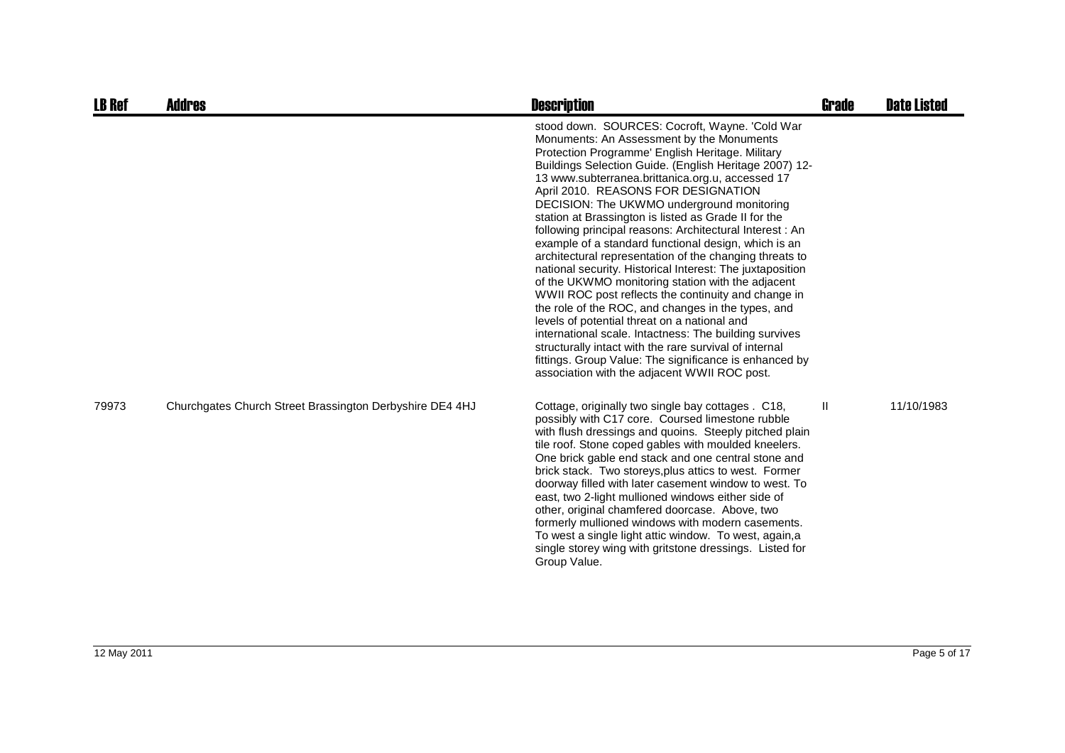| <b>LB Ref</b> | <b>Addres</b>                                            | <b>Description</b>                                                                                                                                                                                                                                                                                                                                                                                                                                                                                                                                                                                                                                                                                                                                                                                                                                                                                                                                                                                                                                                                                     | Grade | <b>Date Listed</b> |
|---------------|----------------------------------------------------------|--------------------------------------------------------------------------------------------------------------------------------------------------------------------------------------------------------------------------------------------------------------------------------------------------------------------------------------------------------------------------------------------------------------------------------------------------------------------------------------------------------------------------------------------------------------------------------------------------------------------------------------------------------------------------------------------------------------------------------------------------------------------------------------------------------------------------------------------------------------------------------------------------------------------------------------------------------------------------------------------------------------------------------------------------------------------------------------------------------|-------|--------------------|
|               |                                                          | stood down. SOURCES: Cocroft, Wayne. 'Cold War<br>Monuments: An Assessment by the Monuments<br>Protection Programme' English Heritage. Military<br>Buildings Selection Guide. (English Heritage 2007) 12-<br>13 www.subterranea.brittanica.org.u, accessed 17<br>April 2010. REASONS FOR DESIGNATION<br>DECISION: The UKWMO underground monitoring<br>station at Brassington is listed as Grade II for the<br>following principal reasons: Architectural Interest : An<br>example of a standard functional design, which is an<br>architectural representation of the changing threats to<br>national security. Historical Interest: The juxtaposition<br>of the UKWMO monitoring station with the adjacent<br>WWII ROC post reflects the continuity and change in<br>the role of the ROC, and changes in the types, and<br>levels of potential threat on a national and<br>international scale. Intactness: The building survives<br>structurally intact with the rare survival of internal<br>fittings. Group Value: The significance is enhanced by<br>association with the adjacent WWII ROC post. |       |                    |
| 79973         | Churchgates Church Street Brassington Derbyshire DE4 4HJ | Cottage, originally two single bay cottages . C18,<br>possibly with C17 core. Coursed limestone rubble<br>with flush dressings and quoins. Steeply pitched plain<br>tile roof. Stone coped gables with moulded kneelers.<br>One brick gable end stack and one central stone and<br>brick stack. Two storeys, plus attics to west. Former<br>doorway filled with later casement window to west. To<br>east, two 2-light mullioned windows either side of<br>other, original chamfered doorcase. Above, two<br>formerly mullioned windows with modern casements.<br>To west a single light attic window. To west, again, a<br>single storey wing with gritstone dressings. Listed for<br>Group Value.                                                                                                                                                                                                                                                                                                                                                                                                    | Ш     | 11/10/1983         |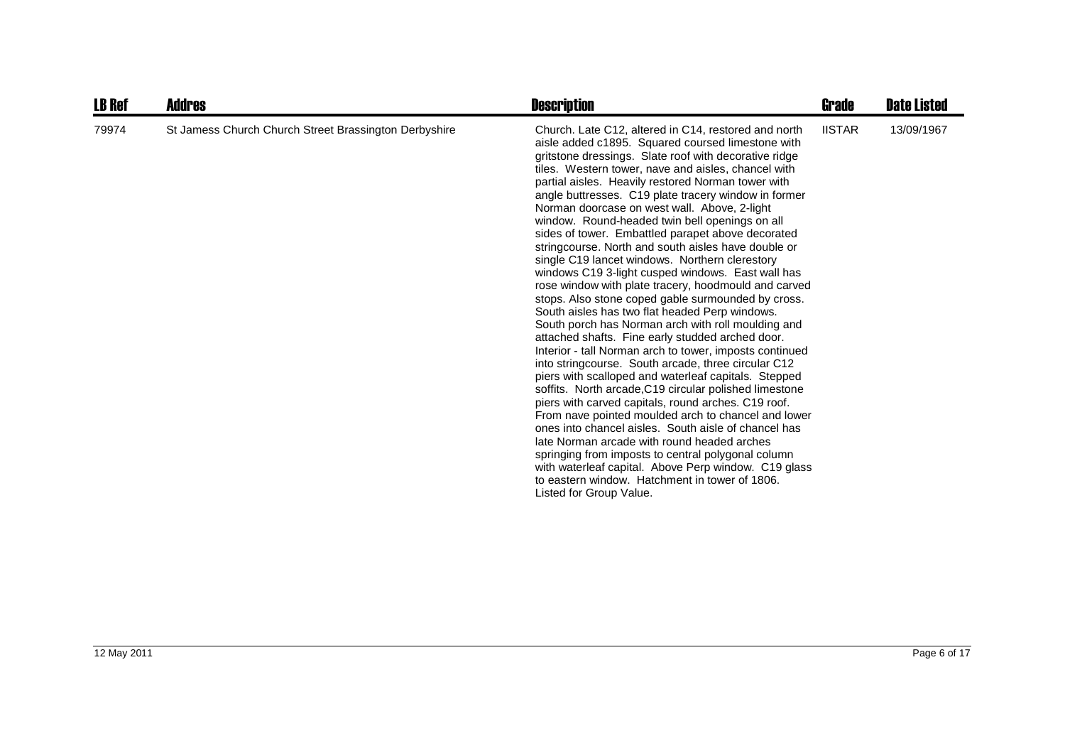| <b>LB Ref</b> | Addres                                                | <b>Description</b>                                                                                                                                                                                                                                                                                                                                                                                                                                                                                                                                                                                                                                                                                                                                                                                                                                                                                                                                                                                                                                                                                                                                                                                                                                                                                                                                                                                                                                                                                                                                                                         | Grade         | <b>Date Listed</b> |
|---------------|-------------------------------------------------------|--------------------------------------------------------------------------------------------------------------------------------------------------------------------------------------------------------------------------------------------------------------------------------------------------------------------------------------------------------------------------------------------------------------------------------------------------------------------------------------------------------------------------------------------------------------------------------------------------------------------------------------------------------------------------------------------------------------------------------------------------------------------------------------------------------------------------------------------------------------------------------------------------------------------------------------------------------------------------------------------------------------------------------------------------------------------------------------------------------------------------------------------------------------------------------------------------------------------------------------------------------------------------------------------------------------------------------------------------------------------------------------------------------------------------------------------------------------------------------------------------------------------------------------------------------------------------------------------|---------------|--------------------|
| 79974         | St Jamess Church Church Street Brassington Derbyshire | Church. Late C12, altered in C14, restored and north<br>aisle added c1895. Squared coursed limestone with<br>gritstone dressings. Slate roof with decorative ridge<br>tiles. Western tower, nave and aisles, chancel with<br>partial aisles. Heavily restored Norman tower with<br>angle buttresses. C19 plate tracery window in former<br>Norman doorcase on west wall. Above, 2-light<br>window. Round-headed twin bell openings on all<br>sides of tower. Embattled parapet above decorated<br>stringcourse. North and south aisles have double or<br>single C19 lancet windows. Northern clerestory<br>windows C19 3-light cusped windows. East wall has<br>rose window with plate tracery, hoodmould and carved<br>stops. Also stone coped gable surmounded by cross.<br>South aisles has two flat headed Perp windows.<br>South porch has Norman arch with roll moulding and<br>attached shafts. Fine early studded arched door.<br>Interior - tall Norman arch to tower, imposts continued<br>into stringcourse. South arcade, three circular C12<br>piers with scalloped and waterleaf capitals. Stepped<br>soffits. North arcade, C19 circular polished limestone<br>piers with carved capitals, round arches. C19 roof.<br>From nave pointed moulded arch to chancel and lower<br>ones into chancel aisles. South aisle of chancel has<br>late Norman arcade with round headed arches<br>springing from imposts to central polygonal column<br>with waterleaf capital. Above Perp window. C19 glass<br>to eastern window. Hatchment in tower of 1806.<br>Listed for Group Value. | <b>IISTAR</b> | 13/09/1967         |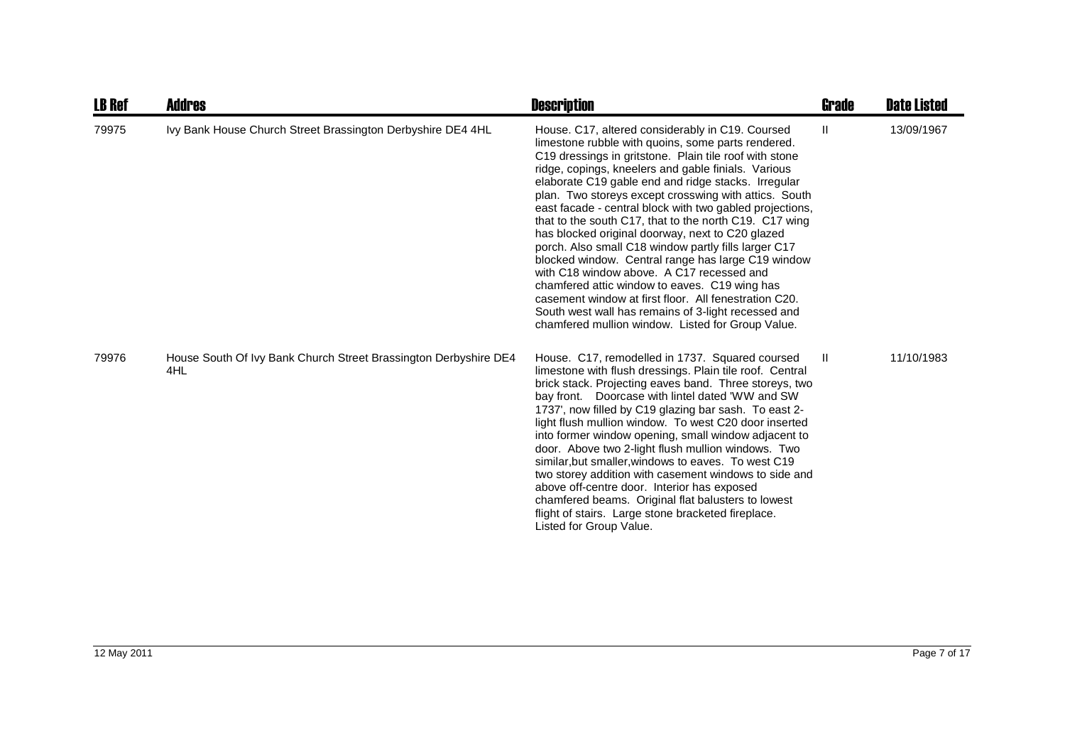| <b>LB Ref</b> | Addres                                                                  | <b>Description</b>                                                                                                                                                                                                                                                                                                                                                                                                                                                                                                                                                                                                                                                                                                                                                                                                                                                                                 | <b>Grade</b> | <b>Date Listed</b> |
|---------------|-------------------------------------------------------------------------|----------------------------------------------------------------------------------------------------------------------------------------------------------------------------------------------------------------------------------------------------------------------------------------------------------------------------------------------------------------------------------------------------------------------------------------------------------------------------------------------------------------------------------------------------------------------------------------------------------------------------------------------------------------------------------------------------------------------------------------------------------------------------------------------------------------------------------------------------------------------------------------------------|--------------|--------------------|
| 79975         | Ivy Bank House Church Street Brassington Derbyshire DE4 4HL             | House. C17, altered considerably in C19. Coursed<br>limestone rubble with quoins, some parts rendered.<br>C19 dressings in gritstone. Plain tile roof with stone<br>ridge, copings, kneelers and gable finials. Various<br>elaborate C19 gable end and ridge stacks. Irregular<br>plan. Two storeys except crosswing with attics. South<br>east facade - central block with two gabled projections,<br>that to the south C17, that to the north C19. C17 wing<br>has blocked original doorway, next to C20 glazed<br>porch. Also small C18 window partly fills larger C17<br>blocked window. Central range has large C19 window<br>with C18 window above. A C17 recessed and<br>chamfered attic window to eaves. C19 wing has<br>casement window at first floor. All fenestration C20.<br>South west wall has remains of 3-light recessed and<br>chamfered mullion window. Listed for Group Value. | $\mathbf{H}$ | 13/09/1967         |
| 79976         | House South Of Ivy Bank Church Street Brassington Derbyshire DE4<br>4HL | House. C17, remodelled in 1737. Squared coursed<br>limestone with flush dressings. Plain tile roof. Central<br>brick stack. Projecting eaves band. Three storeys, two<br>bay front. Doorcase with lintel dated 'WW and SW<br>1737', now filled by C19 glazing bar sash. To east 2-<br>light flush mullion window. To west C20 door inserted<br>into former window opening, small window adjacent to<br>door. Above two 2-light flush mullion windows. Two<br>similar, but smaller, windows to eaves. To west C19<br>two storey addition with casement windows to side and<br>above off-centre door. Interior has exposed<br>chamfered beams. Original flat balusters to lowest<br>flight of stairs. Large stone bracketed fireplace.<br>Listed for Group Value.                                                                                                                                    | $\mathbf{I}$ | 11/10/1983         |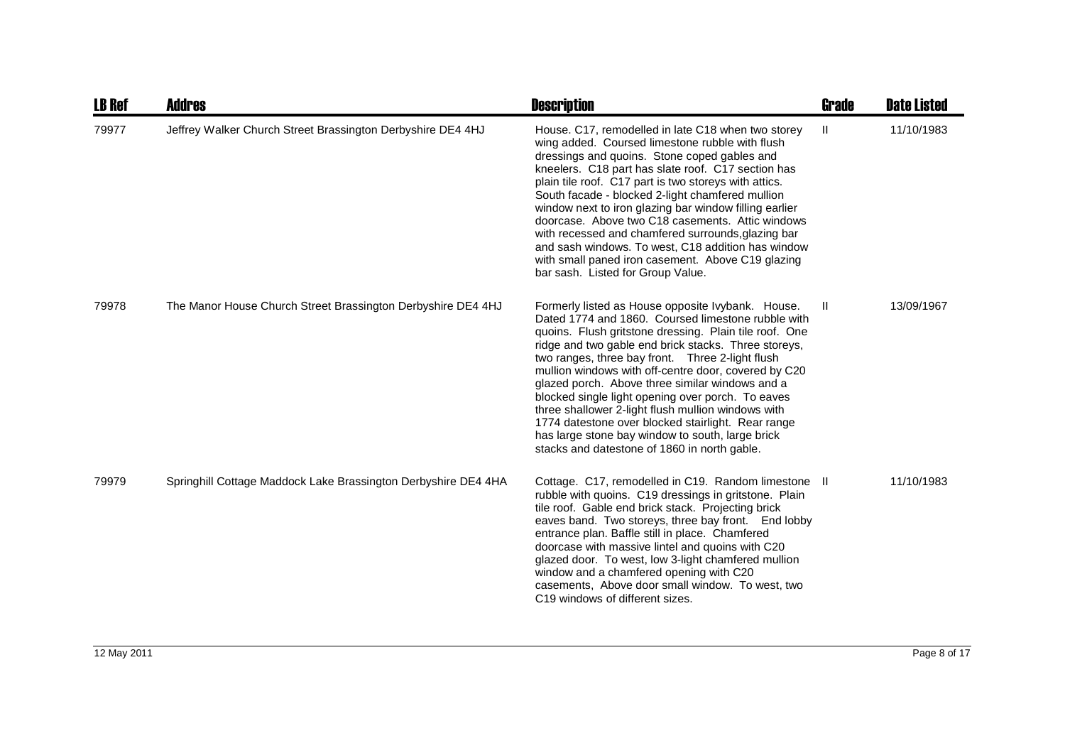| <b>LB Ref</b> | <b>Addres</b>                                                  | <b>Description</b>                                                                                                                                                                                                                                                                                                                                                                                                                                                                                                                                                                                                                                            | <b>Grade</b> | <b>Date Listed</b> |
|---------------|----------------------------------------------------------------|---------------------------------------------------------------------------------------------------------------------------------------------------------------------------------------------------------------------------------------------------------------------------------------------------------------------------------------------------------------------------------------------------------------------------------------------------------------------------------------------------------------------------------------------------------------------------------------------------------------------------------------------------------------|--------------|--------------------|
| 79977         | Jeffrey Walker Church Street Brassington Derbyshire DE4 4HJ    | House. C17, remodelled in late C18 when two storey<br>wing added. Coursed limestone rubble with flush<br>dressings and quoins. Stone coped gables and<br>kneelers. C18 part has slate roof. C17 section has<br>plain tile roof. C17 part is two storeys with attics.<br>South facade - blocked 2-light chamfered mullion<br>window next to iron glazing bar window filling earlier<br>doorcase. Above two C18 casements. Attic windows<br>with recessed and chamfered surrounds, glazing bar<br>and sash windows. To west, C18 addition has window<br>with small paned iron casement. Above C19 glazing<br>bar sash. Listed for Group Value.                  | Ш.           | 11/10/1983         |
| 79978         | The Manor House Church Street Brassington Derbyshire DE4 4HJ   | Formerly listed as House opposite Ivybank. House.<br>Dated 1774 and 1860. Coursed limestone rubble with<br>quoins. Flush gritstone dressing. Plain tile roof. One<br>ridge and two gable end brick stacks. Three storeys,<br>two ranges, three bay front. Three 2-light flush<br>mullion windows with off-centre door, covered by C20<br>glazed porch. Above three similar windows and a<br>blocked single light opening over porch. To eaves<br>three shallower 2-light flush mullion windows with<br>1774 datestone over blocked stairlight. Rear range<br>has large stone bay window to south, large brick<br>stacks and datestone of 1860 in north gable. | H.           | 13/09/1967         |
| 79979         | Springhill Cottage Maddock Lake Brassington Derbyshire DE4 4HA | Cottage. C17, remodelled in C19. Random limestone II<br>rubble with quoins. C19 dressings in gritstone. Plain<br>tile roof. Gable end brick stack. Projecting brick<br>eaves band. Two storeys, three bay front. End lobby<br>entrance plan. Baffle still in place. Chamfered<br>doorcase with massive lintel and quoins with C20<br>glazed door. To west, low 3-light chamfered mullion<br>window and a chamfered opening with C20<br>casements, Above door small window. To west, two<br>C19 windows of different sizes.                                                                                                                                    |              | 11/10/1983         |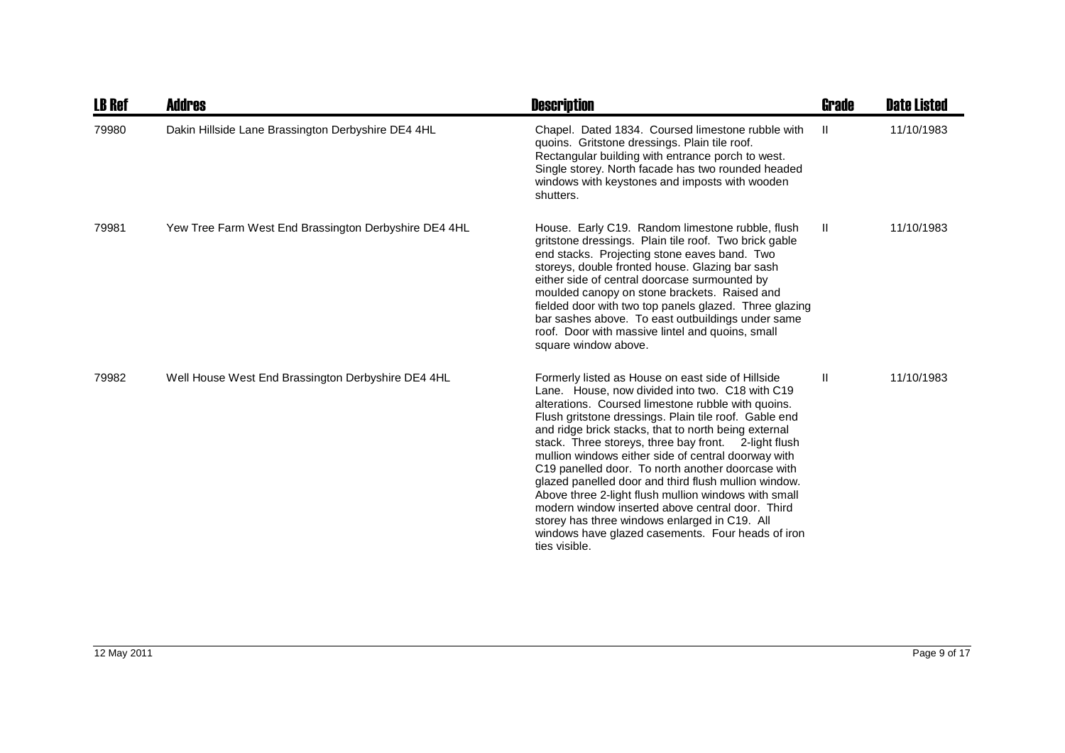| <b>LB Ref</b> | <b>Addres</b>                                         | <b>Description</b>                                                                                                                                                                                                                                                                                                                                                                                                                                                                                                                                                                                                                                                                                                                         | Grade        | <b>Date Listed</b> |
|---------------|-------------------------------------------------------|--------------------------------------------------------------------------------------------------------------------------------------------------------------------------------------------------------------------------------------------------------------------------------------------------------------------------------------------------------------------------------------------------------------------------------------------------------------------------------------------------------------------------------------------------------------------------------------------------------------------------------------------------------------------------------------------------------------------------------------------|--------------|--------------------|
| 79980         | Dakin Hillside Lane Brassington Derbyshire DE4 4HL    | Chapel. Dated 1834. Coursed limestone rubble with<br>quoins. Gritstone dressings. Plain tile roof.<br>Rectangular building with entrance porch to west.<br>Single storey. North facade has two rounded headed<br>windows with keystones and imposts with wooden<br>shutters.                                                                                                                                                                                                                                                                                                                                                                                                                                                               | -II          | 11/10/1983         |
| 79981         | Yew Tree Farm West End Brassington Derbyshire DE4 4HL | House. Early C19. Random limestone rubble, flush<br>gritstone dressings. Plain tile roof. Two brick gable<br>end stacks. Projecting stone eaves band. Two<br>storeys, double fronted house. Glazing bar sash<br>either side of central doorcase surmounted by<br>moulded canopy on stone brackets. Raised and<br>fielded door with two top panels glazed. Three glazing<br>bar sashes above. To east outbuildings under same<br>roof. Door with massive lintel and quoins, small<br>square window above.                                                                                                                                                                                                                                   | $\mathbf{H}$ | 11/10/1983         |
| 79982         | Well House West End Brassington Derbyshire DE4 4HL    | Formerly listed as House on east side of Hillside<br>Lane. House, now divided into two. C18 with C19<br>alterations. Coursed limestone rubble with quoins.<br>Flush gritstone dressings. Plain tile roof. Gable end<br>and ridge brick stacks, that to north being external<br>stack. Three storeys, three bay front. 2-light flush<br>mullion windows either side of central doorway with<br>C19 panelled door. To north another doorcase with<br>glazed panelled door and third flush mullion window.<br>Above three 2-light flush mullion windows with small<br>modern window inserted above central door. Third<br>storey has three windows enlarged in C19. All<br>windows have glazed casements. Four heads of iron<br>ties visible. | H.           | 11/10/1983         |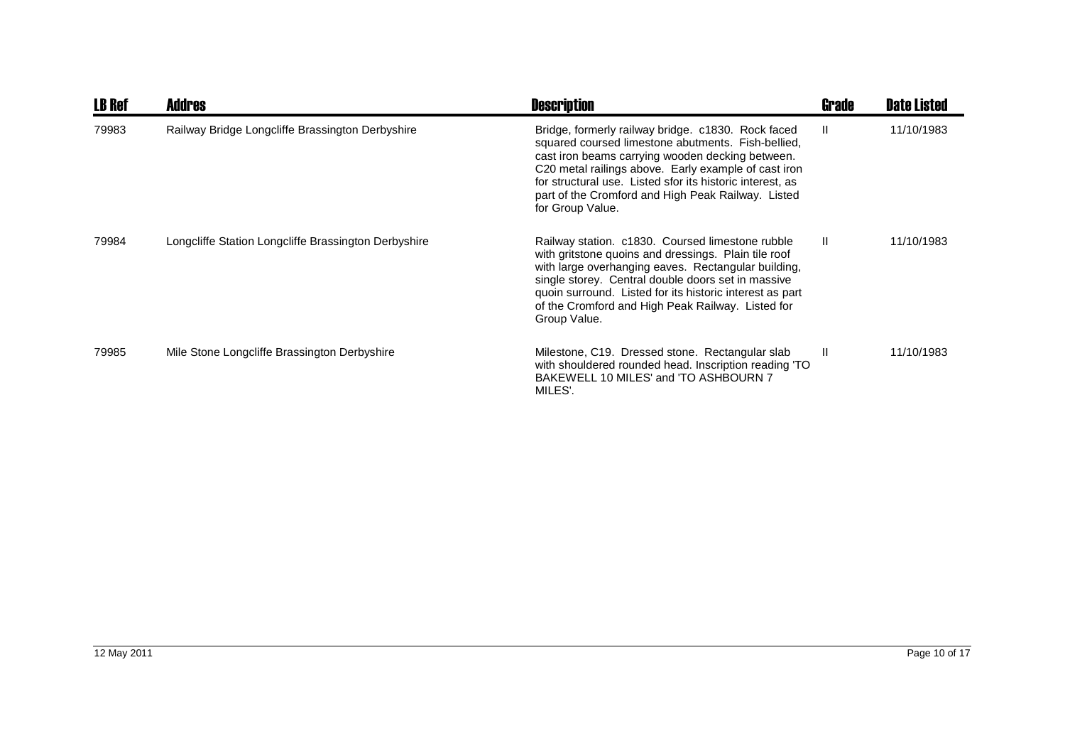| <b>LB Ref</b> | <b>Addres</b>                                        | <b>Description</b>                                                                                                                                                                                                                                                                                                                                          | <b>Grade</b> | <b>Date Listed</b> |
|---------------|------------------------------------------------------|-------------------------------------------------------------------------------------------------------------------------------------------------------------------------------------------------------------------------------------------------------------------------------------------------------------------------------------------------------------|--------------|--------------------|
| 79983         | Railway Bridge Longcliffe Brassington Derbyshire     | Bridge, formerly railway bridge. c1830. Rock faced<br>squared coursed limestone abutments. Fish-bellied,<br>cast iron beams carrying wooden decking between.<br>C20 metal railings above. Early example of cast iron<br>for structural use. Listed sfor its historic interest, as<br>part of the Cromford and High Peak Railway. Listed<br>for Group Value. | $\mathbf{I}$ | 11/10/1983         |
| 79984         | Longcliffe Station Longcliffe Brassington Derbyshire | Railway station. c1830. Coursed limestone rubble<br>with gritstone quoins and dressings. Plain tile roof<br>with large overhanging eaves. Rectangular building,<br>single storey. Central double doors set in massive<br>quoin surround. Listed for its historic interest as part<br>of the Cromford and High Peak Railway. Listed for<br>Group Value.      | $\mathbf{H}$ | 11/10/1983         |
| 79985         | Mile Stone Longcliffe Brassington Derbyshire         | Milestone, C19. Dressed stone. Rectangular slab<br>with shouldered rounded head. Inscription reading 'TO<br>BAKEWELL 10 MILES' and 'TO ASHBOURN 7<br>MILES'.                                                                                                                                                                                                | $\mathbf{I}$ | 11/10/1983         |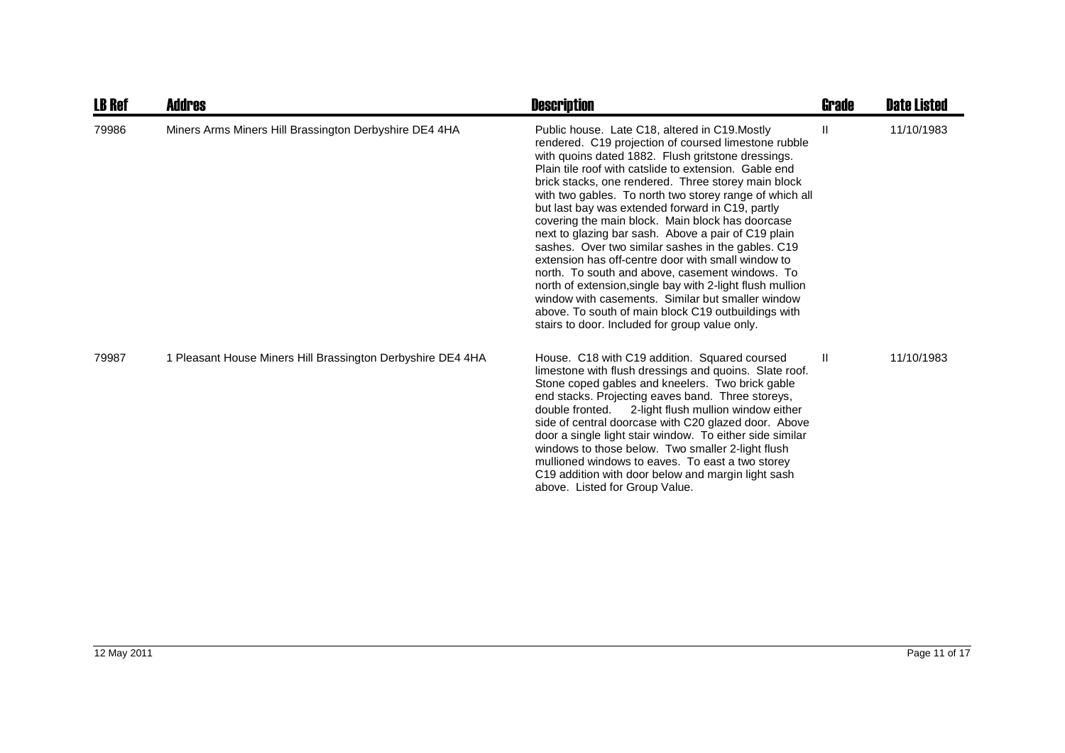| <b>LB Ref</b> | <b>Addres</b>                                               | <b>Description</b>                                                                                                                                                                                                                                                                                                                                                                                                                                                                                                                                                                                                                                                                                                                                                                                                                                                                              | <b>Grade</b> | <b>Date Listed</b> |
|---------------|-------------------------------------------------------------|-------------------------------------------------------------------------------------------------------------------------------------------------------------------------------------------------------------------------------------------------------------------------------------------------------------------------------------------------------------------------------------------------------------------------------------------------------------------------------------------------------------------------------------------------------------------------------------------------------------------------------------------------------------------------------------------------------------------------------------------------------------------------------------------------------------------------------------------------------------------------------------------------|--------------|--------------------|
| 79986         | Miners Arms Miners Hill Brassington Derbyshire DE4 4HA      | Public house. Late C18, altered in C19.Mostly<br>rendered. C19 projection of coursed limestone rubble<br>with quoins dated 1882. Flush gritstone dressings.<br>Plain tile roof with catslide to extension. Gable end<br>brick stacks, one rendered. Three storey main block<br>with two gables. To north two storey range of which all<br>but last bay was extended forward in C19, partly<br>covering the main block. Main block has doorcase<br>next to glazing bar sash. Above a pair of C19 plain<br>sashes. Over two similar sashes in the gables. C19<br>extension has off-centre door with small window to<br>north. To south and above, casement windows. To<br>north of extension, single bay with 2-light flush mullion<br>window with casements. Similar but smaller window<br>above. To south of main block C19 outbuildings with<br>stairs to door. Included for group value only. | Ш            | 11/10/1983         |
| 79987         | 1 Pleasant House Miners Hill Brassington Derbyshire DE4 4HA | House. C18 with C19 addition. Squared coursed<br>limestone with flush dressings and quoins. Slate roof.<br>Stone coped gables and kneelers. Two brick gable<br>end stacks. Projecting eaves band. Three storeys,<br>double fronted. 2-light flush mullion window either<br>side of central doorcase with C20 glazed door. Above<br>door a single light stair window. To either side similar<br>windows to those below. Two smaller 2-light flush<br>mullioned windows to eaves. To east a two storey<br>C19 addition with door below and margin light sash<br>above. Listed for Group Value.                                                                                                                                                                                                                                                                                                    | $\mathbf{H}$ | 11/10/1983         |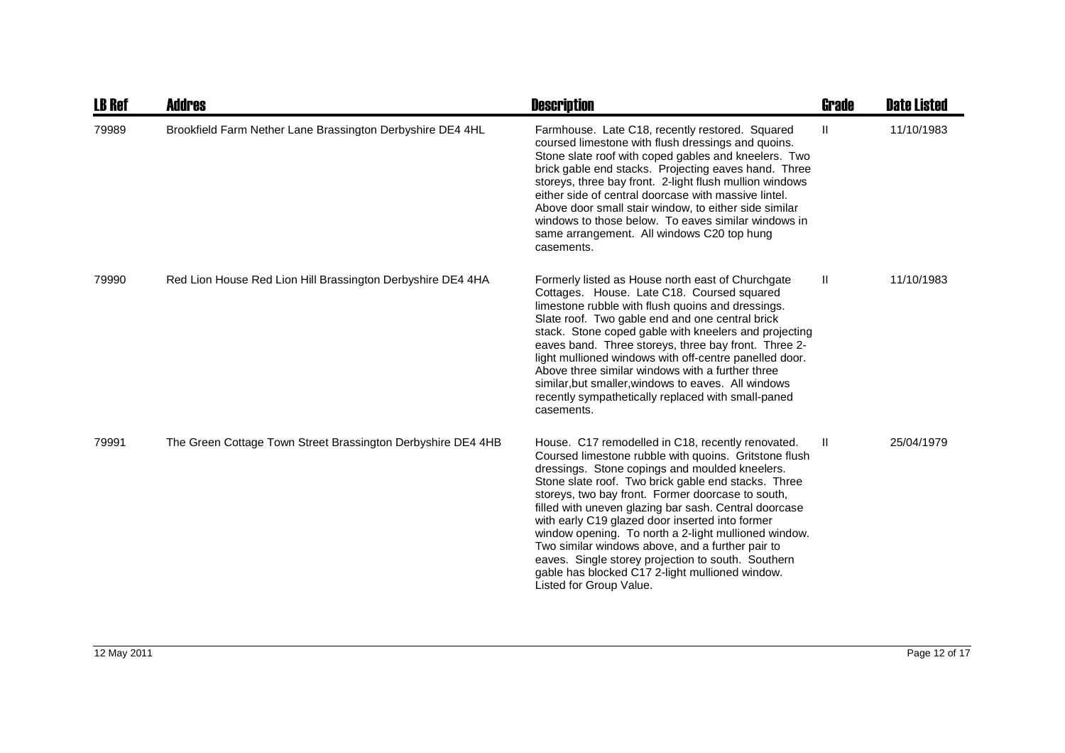| <b>LB Ref</b> | Addres                                                       | <b>Description</b>                                                                                                                                                                                                                                                                                                                                                                                                                                                                                                                                                                                                                   | Grade        | <b>Date Listed</b> |
|---------------|--------------------------------------------------------------|--------------------------------------------------------------------------------------------------------------------------------------------------------------------------------------------------------------------------------------------------------------------------------------------------------------------------------------------------------------------------------------------------------------------------------------------------------------------------------------------------------------------------------------------------------------------------------------------------------------------------------------|--------------|--------------------|
| 79989         | Brookfield Farm Nether Lane Brassington Derbyshire DE4 4HL   | Farmhouse. Late C18, recently restored. Squared<br>coursed limestone with flush dressings and quoins.<br>Stone slate roof with coped gables and kneelers. Two<br>brick gable end stacks. Projecting eaves hand. Three<br>storeys, three bay front. 2-light flush mullion windows<br>either side of central doorcase with massive lintel.<br>Above door small stair window, to either side similar<br>windows to those below. To eaves similar windows in<br>same arrangement. All windows C20 top hung<br>casements.                                                                                                                 | $\mathbf{I}$ | 11/10/1983         |
| 79990         | Red Lion House Red Lion Hill Brassington Derbyshire DE4 4HA  | Formerly listed as House north east of Churchgate<br>Cottages. House. Late C18. Coursed squared<br>limestone rubble with flush quoins and dressings.<br>Slate roof. Two gable end and one central brick<br>stack. Stone coped gable with kneelers and projecting<br>eaves band. Three storeys, three bay front. Three 2-<br>light mullioned windows with off-centre panelled door.<br>Above three similar windows with a further three<br>similar, but smaller, windows to eaves. All windows<br>recently sympathetically replaced with small-paned<br>casements.                                                                    | Ш            | 11/10/1983         |
| 79991         | The Green Cottage Town Street Brassington Derbyshire DE4 4HB | House. C17 remodelled in C18, recently renovated.<br>Coursed limestone rubble with quoins. Gritstone flush<br>dressings. Stone copings and moulded kneelers.<br>Stone slate roof. Two brick gable end stacks. Three<br>storeys, two bay front. Former doorcase to south,<br>filled with uneven glazing bar sash. Central doorcase<br>with early C19 glazed door inserted into former<br>window opening. To north a 2-light mullioned window.<br>Two similar windows above, and a further pair to<br>eaves. Single storey projection to south. Southern<br>gable has blocked C17 2-light mullioned window.<br>Listed for Group Value. | $\mathbf{I}$ | 25/04/1979         |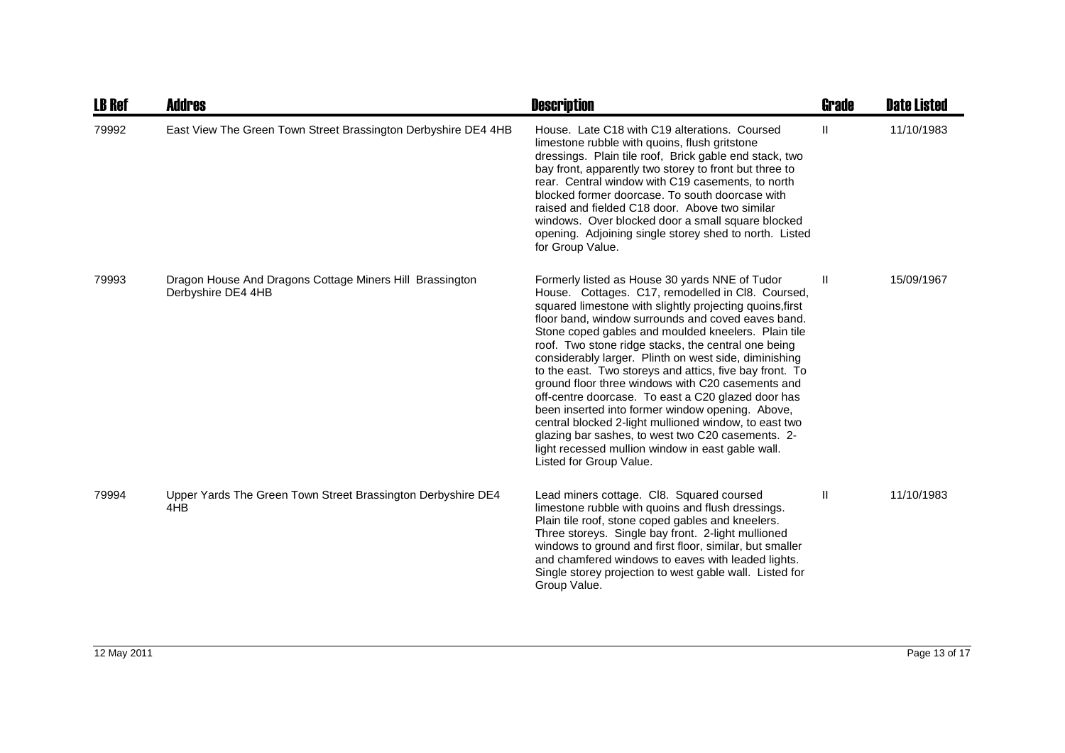| <b>LB Ref</b> | Addres                                                                         | <b>Description</b>                                                                                                                                                                                                                                                                                                                                                                                                                                                                                                                                                                                                                                                                                                                                                                                                   | <b>Grade</b> | <b>Date Listed</b> |
|---------------|--------------------------------------------------------------------------------|----------------------------------------------------------------------------------------------------------------------------------------------------------------------------------------------------------------------------------------------------------------------------------------------------------------------------------------------------------------------------------------------------------------------------------------------------------------------------------------------------------------------------------------------------------------------------------------------------------------------------------------------------------------------------------------------------------------------------------------------------------------------------------------------------------------------|--------------|--------------------|
| 79992         | East View The Green Town Street Brassington Derbyshire DE4 4HB                 | House. Late C18 with C19 alterations. Coursed<br>limestone rubble with quoins, flush gritstone<br>dressings. Plain tile roof, Brick gable end stack, two<br>bay front, apparently two storey to front but three to<br>rear. Central window with C19 casements, to north<br>blocked former doorcase. To south doorcase with<br>raised and fielded C18 door. Above two similar<br>windows. Over blocked door a small square blocked<br>opening. Adjoining single storey shed to north. Listed<br>for Group Value.                                                                                                                                                                                                                                                                                                      | $\mathbf{H}$ | 11/10/1983         |
| 79993         | Dragon House And Dragons Cottage Miners Hill Brassington<br>Derbyshire DE4 4HB | Formerly listed as House 30 yards NNE of Tudor<br>House. Cottages. C17, remodelled in Cl8. Coursed,<br>squared limestone with slightly projecting quoins, first<br>floor band, window surrounds and coved eaves band.<br>Stone coped gables and moulded kneelers. Plain tile<br>roof. Two stone ridge stacks, the central one being<br>considerably larger. Plinth on west side, diminishing<br>to the east. Two storeys and attics, five bay front. To<br>ground floor three windows with C20 casements and<br>off-centre doorcase. To east a C20 glazed door has<br>been inserted into former window opening. Above,<br>central blocked 2-light mullioned window, to east two<br>glazing bar sashes, to west two C20 casements. 2-<br>light recessed mullion window in east gable wall.<br>Listed for Group Value. | Ш            | 15/09/1967         |
| 79994         | Upper Yards The Green Town Street Brassington Derbyshire DE4<br>4HB            | Lead miners cottage. CI8. Squared coursed<br>limestone rubble with quoins and flush dressings.<br>Plain tile roof, stone coped gables and kneelers.<br>Three storeys. Single bay front. 2-light mullioned<br>windows to ground and first floor, similar, but smaller<br>and chamfered windows to eaves with leaded lights.<br>Single storey projection to west gable wall. Listed for<br>Group Value.                                                                                                                                                                                                                                                                                                                                                                                                                | Ш            | 11/10/1983         |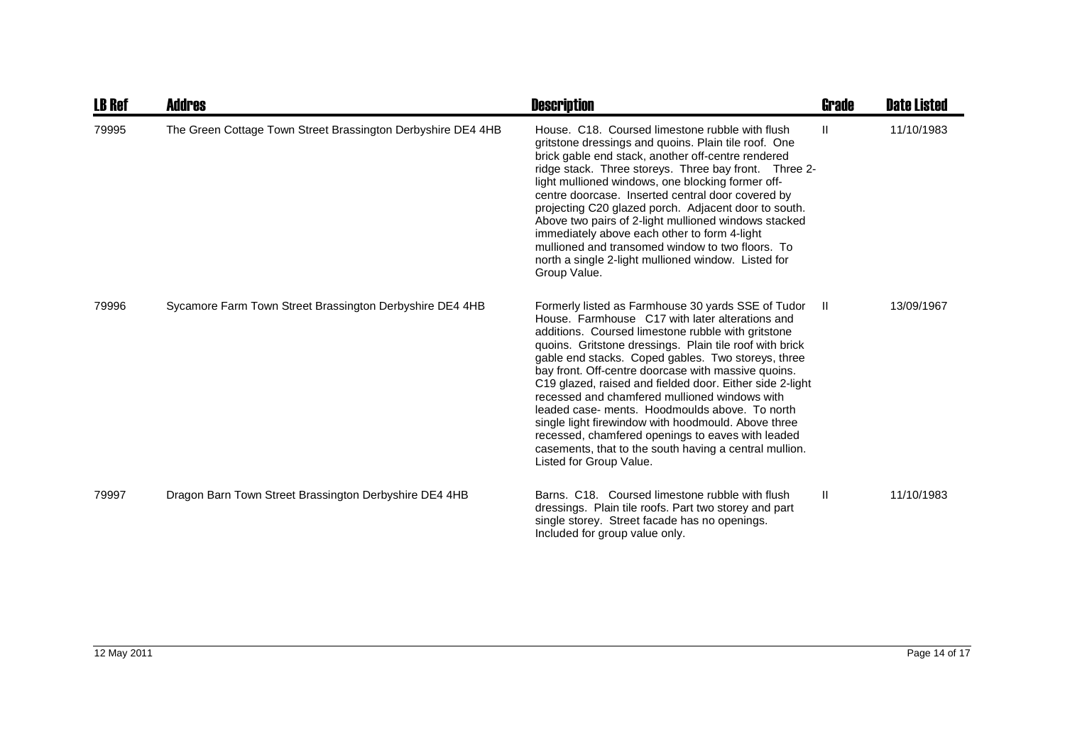| <b>LB Ref</b> | <b>Addres</b>                                                | <b>Description</b>                                                                                                                                                                                                                                                                                                                                                                                                                                                                                                                                                                                                                                                                                  | Grade        | <b>Date Listed</b> |
|---------------|--------------------------------------------------------------|-----------------------------------------------------------------------------------------------------------------------------------------------------------------------------------------------------------------------------------------------------------------------------------------------------------------------------------------------------------------------------------------------------------------------------------------------------------------------------------------------------------------------------------------------------------------------------------------------------------------------------------------------------------------------------------------------------|--------------|--------------------|
| 79995         | The Green Cottage Town Street Brassington Derbyshire DE4 4HB | House, C18. Coursed limestone rubble with flush<br>gritstone dressings and quoins. Plain tile roof. One<br>brick gable end stack, another off-centre rendered<br>ridge stack. Three storeys. Three bay front. Three 2-<br>light mullioned windows, one blocking former off-<br>centre doorcase. Inserted central door covered by<br>projecting C20 glazed porch. Adjacent door to south.<br>Above two pairs of 2-light mullioned windows stacked<br>immediately above each other to form 4-light<br>mullioned and transomed window to two floors. To<br>north a single 2-light mullioned window. Listed for<br>Group Value.                                                                         | $\mathbf{H}$ | 11/10/1983         |
| 79996         | Sycamore Farm Town Street Brassington Derbyshire DE4 4HB     | Formerly listed as Farmhouse 30 yards SSE of Tudor<br>House. Farmhouse C17 with later alterations and<br>additions. Coursed limestone rubble with gritstone<br>quoins. Gritstone dressings. Plain tile roof with brick<br>gable end stacks. Coped gables. Two storeys, three<br>bay front. Off-centre doorcase with massive quoins.<br>C19 glazed, raised and fielded door. Either side 2-light<br>recessed and chamfered mullioned windows with<br>leaded case- ments. Hoodmoulds above. To north<br>single light firewindow with hoodmould. Above three<br>recessed, chamfered openings to eaves with leaded<br>casements, that to the south having a central mullion.<br>Listed for Group Value. | Ш            | 13/09/1967         |
| 79997         | Dragon Barn Town Street Brassington Derbyshire DE4 4HB       | Barns, C18. Coursed limestone rubble with flush<br>dressings. Plain tile roofs. Part two storey and part<br>single storey. Street facade has no openings.<br>Included for group value only.                                                                                                                                                                                                                                                                                                                                                                                                                                                                                                         | $\mathbf{H}$ | 11/10/1983         |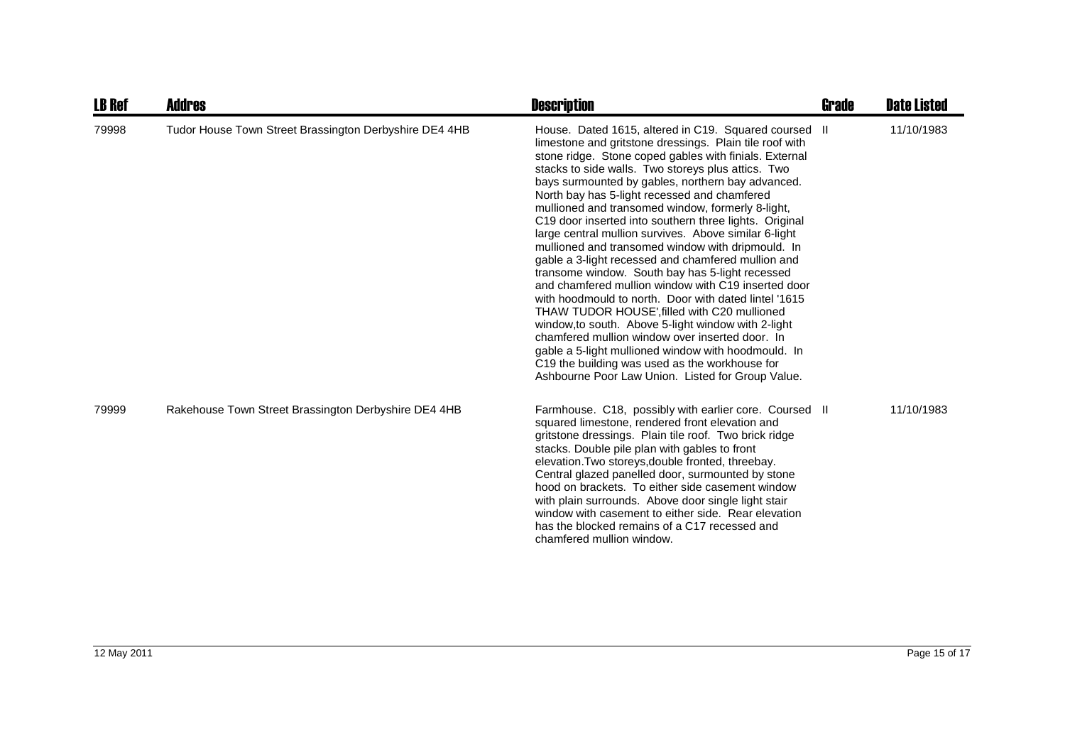| <b>LB Ref</b> | Addres                                                 | <b>Description</b>                                                                                                                                                                                                                                                                                                                                                                                                                                                                                                                                                                                                                                                                                                                                                                                                                                                                                                                                                                                                                                                                                                  | Grade | <b>Date Listed</b> |
|---------------|--------------------------------------------------------|---------------------------------------------------------------------------------------------------------------------------------------------------------------------------------------------------------------------------------------------------------------------------------------------------------------------------------------------------------------------------------------------------------------------------------------------------------------------------------------------------------------------------------------------------------------------------------------------------------------------------------------------------------------------------------------------------------------------------------------------------------------------------------------------------------------------------------------------------------------------------------------------------------------------------------------------------------------------------------------------------------------------------------------------------------------------------------------------------------------------|-------|--------------------|
| 79998         | Tudor House Town Street Brassington Derbyshire DE4 4HB | House. Dated 1615, altered in C19. Squared coursed II<br>limestone and gritstone dressings. Plain tile roof with<br>stone ridge. Stone coped gables with finials. External<br>stacks to side walls. Two storeys plus attics. Two<br>bays surmounted by gables, northern bay advanced.<br>North bay has 5-light recessed and chamfered<br>mullioned and transomed window, formerly 8-light,<br>C19 door inserted into southern three lights. Original<br>large central mullion survives. Above similar 6-light<br>mullioned and transomed window with dripmould. In<br>gable a 3-light recessed and chamfered mullion and<br>transome window. South bay has 5-light recessed<br>and chamfered mullion window with C19 inserted door<br>with hoodmould to north. Door with dated lintel '1615<br>THAW TUDOR HOUSE', filled with C20 mullioned<br>window, to south. Above 5-light window with 2-light<br>chamfered mullion window over inserted door. In<br>gable a 5-light mullioned window with hoodmould. In<br>C19 the building was used as the workhouse for<br>Ashbourne Poor Law Union. Listed for Group Value. |       | 11/10/1983         |
| 79999         | Rakehouse Town Street Brassington Derbyshire DE4 4HB   | Farmhouse. C18, possibly with earlier core. Coursed II<br>squared limestone, rendered front elevation and<br>gritstone dressings. Plain tile roof. Two brick ridge<br>stacks. Double pile plan with gables to front<br>elevation. Two storeys, double fronted, threebay.<br>Central glazed panelled door, surmounted by stone<br>hood on brackets. To either side casement window<br>with plain surrounds. Above door single light stair<br>window with casement to either side. Rear elevation<br>has the blocked remains of a C17 recessed and<br>chamfered mullion window.                                                                                                                                                                                                                                                                                                                                                                                                                                                                                                                                       |       | 11/10/1983         |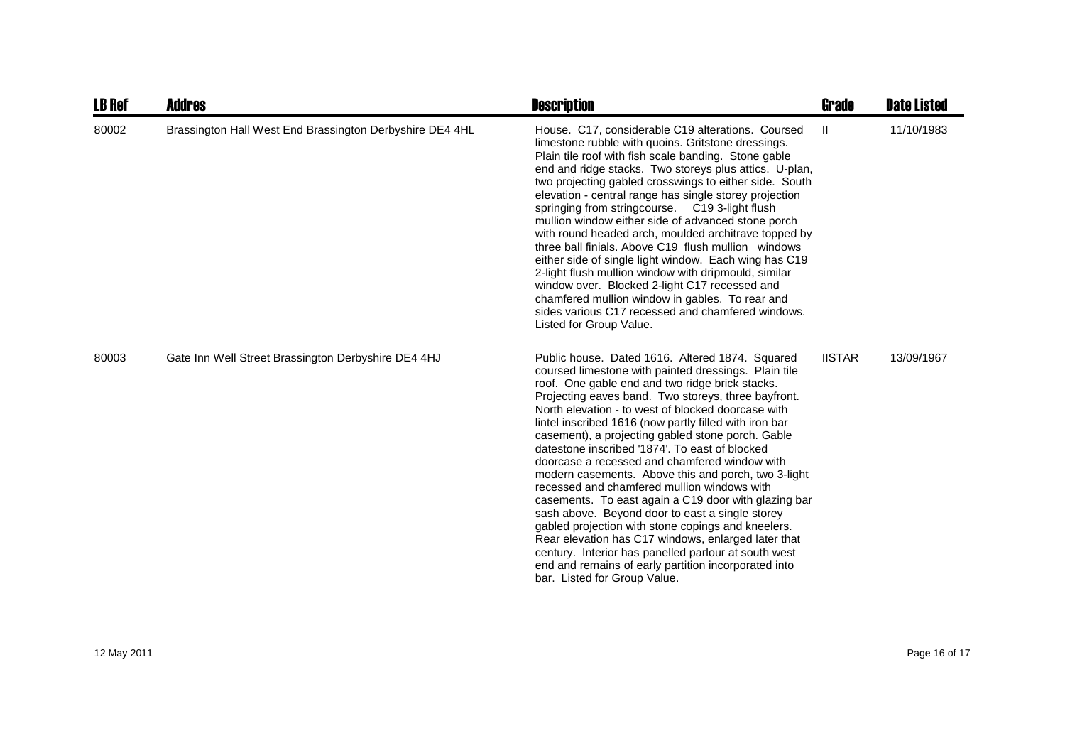| <b>LB Ref</b> | <b>Addres</b>                                            | <b>Description</b>                                                                                                                                                                                                                                                                                                                                                                                                                                                                                                                                                                                                                                                                                                                                                                                                                                                                                                                                                      | <b>Grade</b>  | <b>Date Listed</b> |
|---------------|----------------------------------------------------------|-------------------------------------------------------------------------------------------------------------------------------------------------------------------------------------------------------------------------------------------------------------------------------------------------------------------------------------------------------------------------------------------------------------------------------------------------------------------------------------------------------------------------------------------------------------------------------------------------------------------------------------------------------------------------------------------------------------------------------------------------------------------------------------------------------------------------------------------------------------------------------------------------------------------------------------------------------------------------|---------------|--------------------|
| 80002         | Brassington Hall West End Brassington Derbyshire DE4 4HL | House, C17, considerable C19 alterations, Coursed<br>limestone rubble with quoins. Gritstone dressings.<br>Plain tile roof with fish scale banding. Stone gable<br>end and ridge stacks. Two storeys plus attics. U-plan,<br>two projecting gabled crosswings to either side. South<br>elevation - central range has single storey projection<br>springing from stringcourse. C19 3-light flush<br>mullion window either side of advanced stone porch<br>with round headed arch, moulded architrave topped by<br>three ball finials. Above C19 flush mullion windows<br>either side of single light window. Each wing has C19<br>2-light flush mullion window with dripmould, similar<br>window over. Blocked 2-light C17 recessed and<br>chamfered mullion window in gables. To rear and<br>sides various C17 recessed and chamfered windows.<br>Listed for Group Value.                                                                                               | Ш             | 11/10/1983         |
| 80003         | Gate Inn Well Street Brassington Derbyshire DE4 4HJ      | Public house. Dated 1616. Altered 1874. Squared<br>coursed limestone with painted dressings. Plain tile<br>roof. One gable end and two ridge brick stacks.<br>Projecting eaves band. Two storeys, three bayfront.<br>North elevation - to west of blocked doorcase with<br>lintel inscribed 1616 (now partly filled with iron bar<br>casement), a projecting gabled stone porch. Gable<br>datestone inscribed '1874'. To east of blocked<br>doorcase a recessed and chamfered window with<br>modern casements. Above this and porch, two 3-light<br>recessed and chamfered mullion windows with<br>casements. To east again a C19 door with glazing bar<br>sash above. Beyond door to east a single storey<br>gabled projection with stone copings and kneelers.<br>Rear elevation has C17 windows, enlarged later that<br>century. Interior has panelled parlour at south west<br>end and remains of early partition incorporated into<br>bar. Listed for Group Value. | <b>IISTAR</b> | 13/09/1967         |